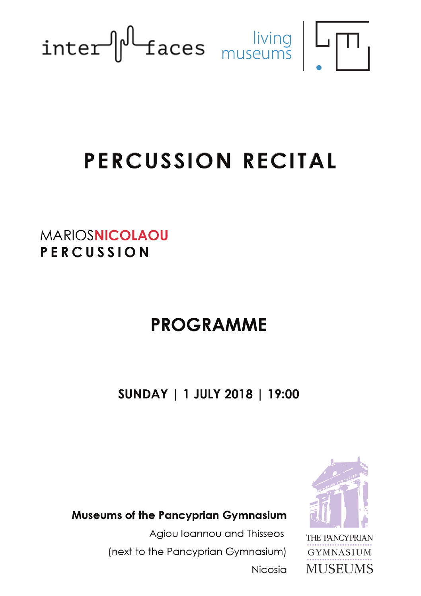

# PERCUSSION RECITAL

**MARIOSNICOLAOU** PERCUSSION

## **PROGRAMME**

SUNDAY | 1 JULY 2018 | 19:00

**Museums of the Pancyprian Gymnasium** 

Agiou Ioannou and Thisseos (next to the Pancyprian Gymnasium) **Nicosia** 



THE PANCYPRIAN **GYMNASIUM MUSEUMS**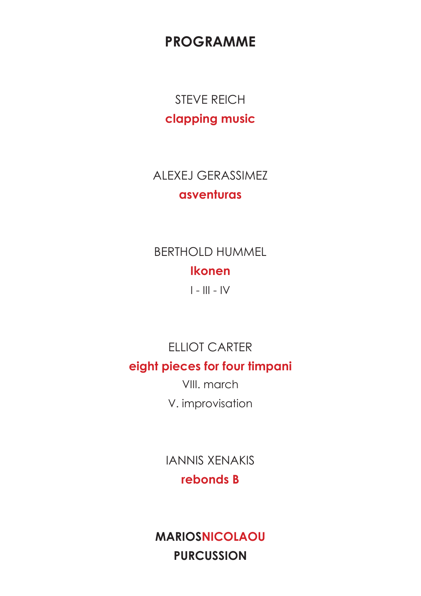**PROGRAMME** 

**STEVE REICH** clapping music

**ALEXEJ GERASSIMEZ** asventuras

**BERTHOLD HUMMEL Ikonen** 

 $I - III - IV$ 

FILIOT CARTER

#### eight pieces for four timpani

VIII. march V. improvisation

**IANNIS XENAKIS** rebonds B

**MARIOSNICOLAOU PURCUSSION**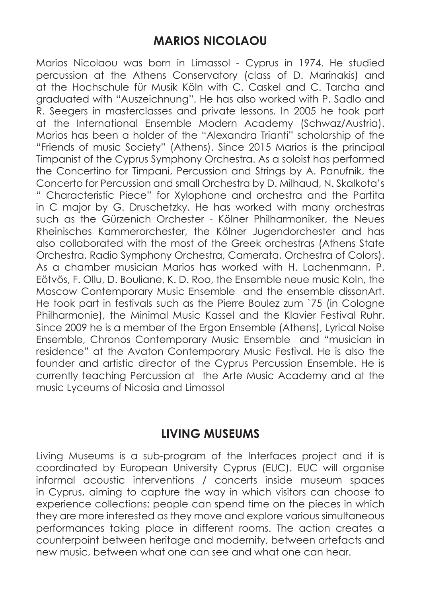#### **MARIOS NICOLAOU**

Marios Nicolaou was born in Limassol - Cyprus in 1974. He studied percussion at the Athens Conservatory (class of D. Marinakis) and at the Hochschule für Musik Köln with C. Caskel and C. Tarcha and graduated with "Auszeichnung". He has also worked with P. Sadlo and R. Seegers in masterclasses and private lessons. In 2005 he took part at the International Ensemble Modern Academy (Schwaz/Austria). Marios has been a holder of the "Alexandra Trianti" scholarship of the "Friends of music Society" (Athens). Since 2015 Marios is the principal Timpanist of the Cyprus Symphony Orchestra. As a soloist has performed the Concertino for Timpani, Percussion and Strings by A. Panufnik, the Concerto for Percussion and small Orchestra by D. Milhaud, N. Skalkota's " Characteristic Piece" for Xylophone and orchestra and the Partita in C major by G. Druschetzky. He has worked with many orchestras such as the Gürzenich Orchester - Kölner Philharmoniker, the Neues Rheinisches Kammerοrchester, the Kölner Jugendorchester and has also collaborated with the most of the Greek orchestras (Athens State Orchestra, Radio Symphony Orchestra, Camerata, Orchestra of Colors). As a chamber musician Marios has worked with H. Lachenmann, P. Eötvös, F. Ollu, D. Bouliane, K. D. Roo, the Ensemble neue music Koln, the Moscow Contemporary Music Ensemble and the ensemble dissonArt. He took part in festivals such as the Pierre Boulez zum `75 (in Cologne Philharmonie), the Minimal Music Kassel and the Klavier Festival Ruhr. Since 2009 he is a member of the Ergon Ensemble (Athens), Lyrical Noise Ensemble, Chronos Contemporary Music Ensemble and "musician in residence" at the Avaton Contemporary Music Festival. He is also the founder and artistic director of the Cyprus Percussion Ensemble. He is currently teaching Percussion at the Arte Music Academy and at the music Lyceums of Nicosia and Limassol

#### **LIVING MUSEUMS**

Living Museums is a sub-program of the Interfaces project and it is coordinated by European University Cyprus (EUC). EUC will organise informal acoustic interventions / concerts inside museum spaces in Cyprus, aiming to capture the way in which visitors can choose to experience collections: people can spend time on the pieces in which they are more interested as they move and explore various simultaneous performances taking place in different rooms. The action creates a counterpoint between heritage and modernity, between artefacts and new music, between what one can see and what one can hear.